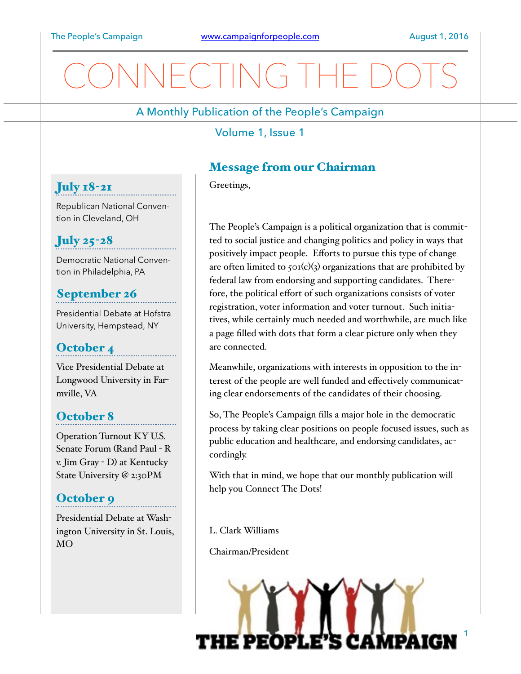# NECTING THE

A Monthly Publication of the People's Campaign

Volume 1, Issue 1

## Message from our Chairman

Greetings,

The People's Campaign is a political organization that is committed to social justice and changing politics and policy in ways that positively impact people. Efforts to pursue this type of change are often limited to  $\zeta$ o1(c)(3) organizations that are prohibited by federal law from endorsing and supporting candidates. Therefore, the political effort of such organizations consists of voter registration, voter information and voter turnout. Such initiatives, while certainly much needed and worthwhile, are much like a page filled with dots that form a clear picture only when they are connected.

Meanwhile, organizations with interests in opposition to the interest of the people are well funded and effectively communicating clear endorsements of the candidates of their choosing.

So, The People's Campaign fills a major hole in the democratic process by taking clear positions on people focused issues, such as public education and healthcare, and endorsing candidates, accordingly.

With that in mind, we hope that our monthly publication will help you Connect The Dots!

L. Clark Williams

Chairman/President

THE PEOPLI

Republican National Convention in Cleveland, OH

## July 25-28

July 18-21

Democratic National Convention in Philadelphia, PA

## September 26

Presidential Debate at Hofstra University, Hempstead, NY

### October 4

Vice Presidential Debate at Longwood University in Farmville, VA

## October 8

Operation Turnout KY U.S. Senate Forum (Rand Paul - R v. Jim Gray - D) at Kentucky State University @ 2:30PM

## October 9

Presidential Debate at Washington University in St. Louis, MO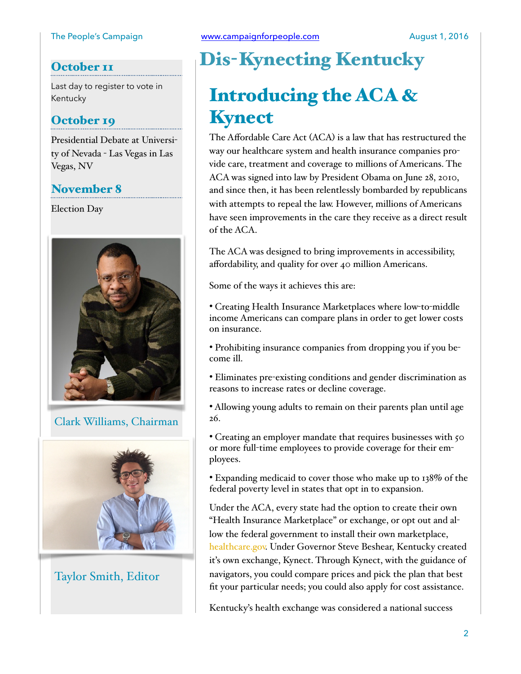### October<sub>II</sub>

Last day to register to vote in Kentucky

### October 19

Presidential Debate at University of Nevada - Las Vegas in Las Vegas, NV

### November 8

Election Day



Clark Williams, Chairman



Taylor Smith, Editor

## Dis-Kynecting Kentucky

## Introducing the ACA & Kynect

The Affordable Care Act (ACA) is a law that has restructured the way our healthcare system and health insurance companies provide care, treatment and coverage to millions of Americans. The ACA was signed into law by President Obama on June 28, 2010, and since then, it has been relentlessly bombarded by republicans with attempts to repeal the law. However, millions of Americans have seen improvements in the care they receive as a direct result of the ACA.

The ACA was designed to bring improvements in accessibility, affordability, and quality for over 40 million Americans.

Some of the ways it achieves this are:

• Creating Health Insurance Marketplaces where low-to-middle income Americans can compare plans in order to get lower costs on insurance.

• Prohibiting insurance companies from dropping you if you become ill.

• Eliminates pre-existing conditions and gender discrimination as reasons to increase rates or decline coverage.

• Allowing young adults to remain on their parents plan until age 26.

• Creating an employer mandate that requires businesses with 50 or more full-time employees to provide coverage for their employees.

• Expanding medicaid to cover those who make up to 138% of the federal poverty level in states that opt in to expansion.

Under the ACA, every state had the option to create their own "Health Insurance Marketplace" or exchange, or opt out and allow the federal government to install their own marketplace, [healthcare.gov.](http://healthcare.gov) Under Governor Steve Beshear, Kentucky created it's own exchange, Kynect. Through Kynect, with the guidance of navigators, you could compare prices and pick the plan that best fit your particular needs; you could also apply for cost assistance.

Kentucky's health exchange was considered a national success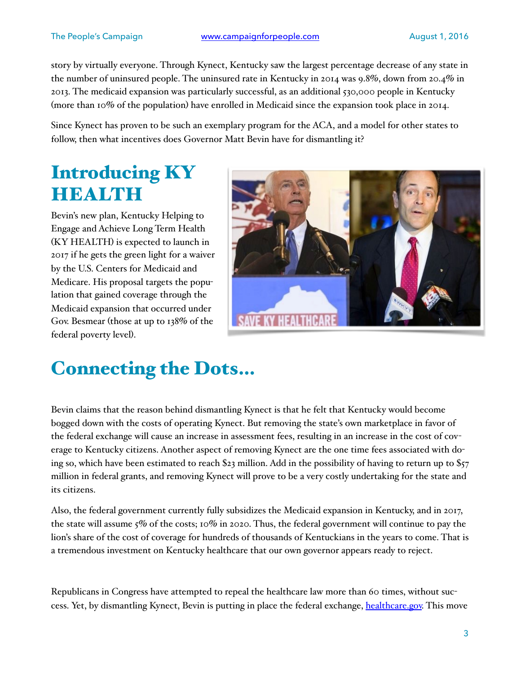story by virtually everyone. Through Kynect, Kentucky saw the largest percentage decrease of any state in the number of uninsured people. The uninsured rate in Kentucky in 2014 was 9.8%, down from 20.4% in 2013. The medicaid expansion was particularly successful, as an additional 530,000 people in Kentucky (more than 10% of the population) have enrolled in Medicaid since the expansion took place in 2014.

Since Kynect has proven to be such an exemplary program for the ACA, and a model for other states to follow, then what incentives does Governor Matt Bevin have for dismantling it?

## Introducing KY HEALTH

Bevin's new plan, Kentucky Helping to Engage and Achieve Long Term Health (KY HEALTH) is expected to launch in 2017 if he gets the green light for a waiver by the U.S. Centers for Medicaid and Medicare. His proposal targets the population that gained coverage through the Medicaid expansion that occurred under Gov. Besmear (those at up to 138% of the federal poverty level).



## Connecting the Dots…

Bevin claims that the reason behind dismantling Kynect is that he felt that Kentucky would become bogged down with the costs of operating Kynect. But removing the state's own marketplace in favor of the federal exchange will cause an increase in assessment fees, resulting in an increase in the cost of coverage to Kentucky citizens. Another aspect of removing Kynect are the one time fees associated with doing so, which have been estimated to reach \$23 million. Add in the possibility of having to return up to \$57 million in federal grants, and removing Kynect will prove to be a very costly undertaking for the state and its citizens.

Also, the federal government currently fully subsidizes the Medicaid expansion in Kentucky, and in 2017, the state will assume 5% of the costs; 10% in 2020. Thus, the federal government will continue to pay the lion's share of the cost of coverage for hundreds of thousands of Kentuckians in the years to come. That is a tremendous investment on Kentucky healthcare that our own governor appears ready to reject.

Republicans in Congress have attempted to repeal the healthcare law more than 60 times, without success. Yet, by dismantling Kynect, Bevin is putting in place the federal exchange, [healthcare.gov.](http://healthcare.gov) This move